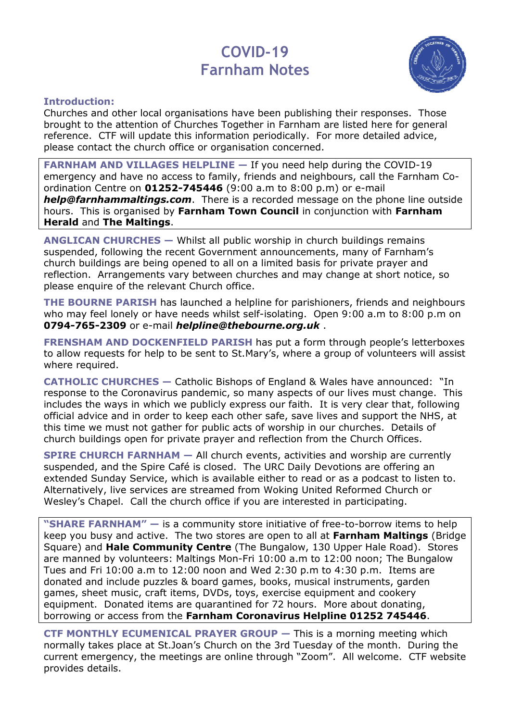## COVID-19 Farnham Notes



## Introduction:

Churches and other local organisations have been publishing their responses. Those brought to the attention of Churches Together in Farnham are listed here for general reference. CTF will update this information periodically. For more detailed advice, please contact the church office or organisation concerned.

FARNHAM AND VILLAGES HELPLINE - If you need help during the COVID-19 emergency and have no access to family, friends and neighbours, call the Farnham Coordination Centre on 01252-745446 (9:00 a.m to 8:00 p.m) or e-mail help@farnhammaltings.com. There is a recorded message on the phone line outside hours. This is organised by Farnham Town Council in conjunction with Farnham Herald and The Maltings.

ANGLICAN CHURCHES — Whilst all public worship in church buildings remains suspended, following the recent Government announcements, many of Farnham's church buildings are being opened to all on a limited basis for private prayer and reflection. Arrangements vary between churches and may change at short notice, so please enquire of the relevant Church office.

**THE BOURNE PARISH** has launched a helpline for parishioners, friends and neighbours who may feel lonely or have needs whilst self-isolating. Open 9:00 a.m to 8:00 p.m on 0794-765-2309 or e-mail helpline@thebourne.org.uk.

FRENSHAM AND DOCKENFIELD PARISH has put a form through people's letterboxes to allow requests for help to be sent to St.Mary's, where a group of volunteers will assist where required.

CATHOLIC CHURCHES — Catholic Bishops of England & Wales have announced: "In response to the Coronavirus pandemic, so many aspects of our lives must change. This includes the ways in which we publicly express our faith. It is very clear that, following official advice and in order to keep each other safe, save lives and support the NHS, at this time we must not gather for public acts of worship in our churches. Details of church buildings open for private prayer and reflection from the Church Offices.

SPIRE CHURCH FARNHAM — All church events, activities and worship are currently suspended, and the Spire Café is closed. The URC Daily Devotions are offering an extended Sunday Service, which is available either to read or as a podcast to listen to. Alternatively, live services are streamed from Woking United Reformed Church or Wesley's Chapel. Call the church office if you are interested in participating.

"SHARE FARNHAM"  $-$  is a community store initiative of free-to-borrow items to help keep you busy and active. The two stores are open to all at Farnham Maltings (Bridge Square) and Hale Community Centre (The Bungalow, 130 Upper Hale Road). Stores are manned by volunteers: Maltings Mon-Fri 10:00 a.m to 12:00 noon; The Bungalow Tues and Fri 10:00 a.m to 12:00 noon and Wed 2:30 p.m to 4:30 p.m. Items are donated and include puzzles & board games, books, musical instruments, garden games, sheet music, craft items, DVDs, toys, exercise equipment and cookery equipment. Donated items are quarantined for 72 hours. More about donating, borrowing or access from the Farnham Coronavirus Helpline 01252 745446.

CTF MONTHLY ECUMENICAL PRAYER GROUP — This is a morning meeting which normally takes place at St.Joan's Church on the 3rd Tuesday of the month. During the current emergency, the meetings are online through "Zoom". All welcome. CTF website provides details.